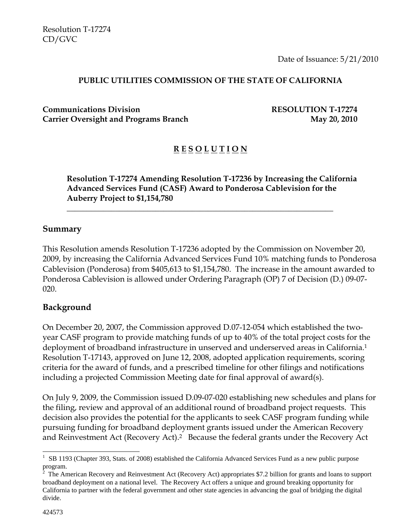Date of Issuance: 5/21/2010

#### **PUBLIC UTILITIES COMMISSION OF THE STATE OF CALIFORNIA**

**Communications Division RESOLUTION T-17274** Carrier Oversight and Programs Branch May 20, 2010

# **R E S O L U T I O N**

**Resolution T-17274 Amending Resolution T-17236 by Increasing the California Advanced Services Fund (CASF) Award to Ponderosa Cablevision for the Auberry Project to \$1,154,780** 

\_\_\_\_\_\_\_\_\_\_\_\_\_\_\_\_\_\_\_\_\_\_\_\_\_\_\_\_\_\_\_\_\_\_\_\_\_\_\_\_\_\_\_\_\_\_\_\_\_\_\_\_\_\_\_\_\_\_\_\_\_\_\_\_\_\_

#### **Summary**

This Resolution amends Resolution T-17236 adopted by the Commission on November 20, 2009, by increasing the California Advanced Services Fund 10% matching funds to Ponderosa Cablevision (Ponderosa) from \$405,613 to \$1,154,780. The increase in the amount awarded to Ponderosa Cablevision is allowed under Ordering Paragraph (OP) 7 of Decision (D.) 09-07- 020.

#### **Background**

On December 20, 2007, the Commission approved D.07-12-054 which established the twoyear CASF program to provide matching funds of up to 40% of the total project costs for the deployment of broadband infrastructure in unserved and underserved areas in California.<sup>1</sup> Resolution T-17143, approved on June 12, 2008, adopted application requirements, scoring criteria for the award of funds, and a prescribed timeline for other filings and notifications including a projected Commission Meeting date for final approval of award(s).

On July 9, 2009, the Commission issued D.09-07-020 establishing new schedules and plans for the filing, review and approval of an additional round of broadband project requests. This decision also provides the potential for the applicants to seek CASF program funding while pursuing funding for broadband deployment grants issued under the American Recovery and Reinvestment Act (Recovery Act).<sup>2</sup> Because the federal grants under the Recovery Act

1

<sup>&</sup>lt;sup>1</sup> SB 1193 (Chapter 393, Stats. of 2008) established the California Advanced Services Fund as a new public purpose

program.<br><sup>2</sup> The American Recovery and Reinvestment Act (Recovery Act) appropriates \$7.2 billion for grants and loans to support broadband deployment on a national level. The Recovery Act offers a unique and ground breaking opportunity for California to partner with the federal government and other state agencies in advancing the goal of bridging the digital divide.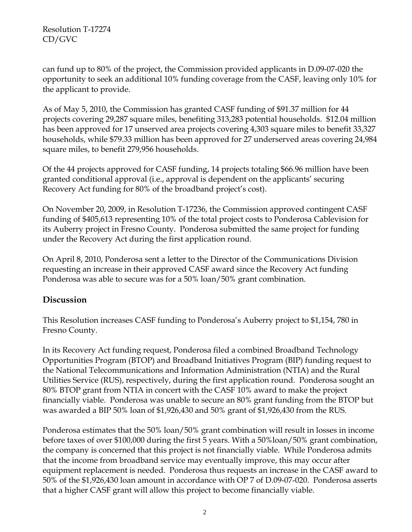can fund up to 80% of the project, the Commission provided applicants in D.09-07-020 the opportunity to seek an additional 10% funding coverage from the CASF, leaving only 10% for the applicant to provide.

As of May 5, 2010, the Commission has granted CASF funding of \$91.37 million for 44 projects covering 29,287 square miles, benefiting 313,283 potential households. \$12.04 million has been approved for 17 unserved area projects covering 4,303 square miles to benefit 33,327 households, while \$79.33 million has been approved for 27 underserved areas covering 24,984 square miles, to benefit 279,956 households.

Of the 44 projects approved for CASF funding, 14 projects totaling \$66.96 million have been granted conditional approval (i.e., approval is dependent on the applicants' securing Recovery Act funding for 80% of the broadband project's cost).

On November 20, 2009, in Resolution T-17236, the Commission approved contingent CASF funding of \$405,613 representing 10% of the total project costs to Ponderosa Cablevision for its Auberry project in Fresno County. Ponderosa submitted the same project for funding under the Recovery Act during the first application round.

On April 8, 2010, Ponderosa sent a letter to the Director of the Communications Division requesting an increase in their approved CASF award since the Recovery Act funding Ponderosa was able to secure was for a 50% loan/50% grant combination.

## **Discussion**

This Resolution increases CASF funding to Ponderosa's Auberry project to \$1,154, 780 in Fresno County.

In its Recovery Act funding request, Ponderosa filed a combined Broadband Technology Opportunities Program (BTOP) and Broadband Initiatives Program (BIP) funding request to the National Telecommunications and Information Administration (NTIA) and the Rural Utilities Service (RUS), respectively, during the first application round. Ponderosa sought an 80% BTOP grant from NTIA in concert with the CASF 10% award to make the project financially viable. Ponderosa was unable to secure an 80% grant funding from the BTOP but was awarded a BIP 50% loan of \$1,926,430 and 50% grant of \$1,926,430 from the RUS.

Ponderosa estimates that the 50% loan/50% grant combination will result in losses in income before taxes of over \$100,000 during the first 5 years. With a 50%loan/50% grant combination, the company is concerned that this project is not financially viable. While Ponderosa admits that the income from broadband service may eventually improve, this may occur after equipment replacement is needed. Ponderosa thus requests an increase in the CASF award to 50% of the \$1,926,430 loan amount in accordance with OP 7 of D.09-07-020. Ponderosa asserts that a higher CASF grant will allow this project to become financially viable.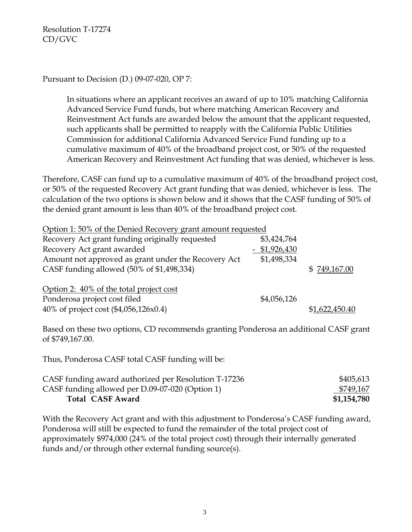Pursuant to Decision (D.) 09-07-020, OP 7:

In situations where an applicant receives an award of up to 10% matching California Advanced Service Fund funds, but where matching American Recovery and Reinvestment Act funds are awarded below the amount that the applicant requested, such applicants shall be permitted to reapply with the California Public Utilities Commission for additional California Advanced Service Fund funding up to a cumulative maximum of 40% of the broadband project cost, or 50% of the requested American Recovery and Reinvestment Act funding that was denied, whichever is less.

Therefore, CASF can fund up to a cumulative maximum of 40% of the broadband project cost, or 50% of the requested Recovery Act grant funding that was denied, whichever is less. The calculation of the two options is shown below and it shows that the CASF funding of 50% of the denied grant amount is less than 40% of the broadband project cost.

| Option 1:50% of the Denied Recovery grant amount requested |                 |                |
|------------------------------------------------------------|-----------------|----------------|
| Recovery Act grant funding originally requested            | \$3,424,764     |                |
| Recovery Act grant awarded                                 | $-$ \$1,926,430 |                |
| Amount not approved as grant under the Recovery Act        | \$1,498,334     |                |
| CASF funding allowed (50% of \$1,498,334)                  |                 | \$749,167.00   |
| Option 2: 40% of the total project cost                    |                 |                |
| Ponderosa project cost filed                               | \$4,056,126     |                |
| 40% of project cost (\$4,056,126x0.4)                      |                 | \$1,622,450.40 |

Based on these two options, CD recommends granting Ponderosa an additional CASF grant of \$749,167.00.

Thus, Ponderosa CASF total CASF funding will be:

| CASF funding award authorized per Resolution T-17236 | \$405,613   |
|------------------------------------------------------|-------------|
| CASF funding allowed per D.09-07-020 (Option 1)      | \$749,167   |
| <b>Total CASF Award</b>                              | \$1,154,780 |

With the Recovery Act grant and with this adjustment to Ponderosa's CASF funding award, Ponderosa will still be expected to fund the remainder of the total project cost of approximately \$974,000 (24% of the total project cost) through their internally generated funds and/or through other external funding source(s).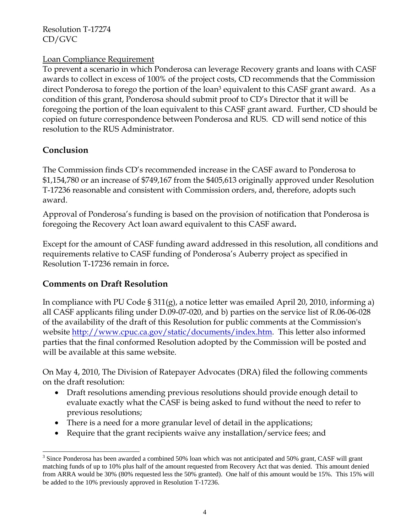#### Loan Compliance Requirement

To prevent a scenario in which Ponderosa can leverage Recovery grants and loans with CASF awards to collect in excess of 100% of the project costs, CD recommends that the Commission direct Ponderosa to forego the portion of the loan<sup>3</sup> equivalent to this CASF grant award. As a condition of this grant, Ponderosa should submit proof to CD's Director that it will be foregoing the portion of the loan equivalent to this CASF grant award. Further, CD should be copied on future correspondence between Ponderosa and RUS. CD will send notice of this resolution to the RUS Administrator.

## **Conclusion**

The Commission finds CD's recommended increase in the CASF award to Ponderosa to \$1,154,780 or an increase of \$749,167 from the \$405,613 originally approved under Resolution T-17236 reasonable and consistent with Commission orders, and, therefore, adopts such award.

Approval of Ponderosa's funding is based on the provision of notification that Ponderosa is foregoing the Recovery Act loan award equivalent to this CASF award**.** 

Except for the amount of CASF funding award addressed in this resolution, all conditions and requirements relative to CASF funding of Ponderosa's Auberry project as specified in Resolution T-17236 remain in force**.** 

#### **Comments on Draft Resolution**

In compliance with PU Code § 311(g), a notice letter was emailed April 20, 2010, informing a) all CASF applicants filing under D.09-07-020, and b) parties on the service list of R.06-06-028 of the availability of the draft of this Resolution for public comments at the Commission's website http://www.cpuc.ca.gov/static/documents/index.htm. This letter also informed parties that the final conformed Resolution adopted by the Commission will be posted and will be available at this same website.

On May 4, 2010, The Division of Ratepayer Advocates (DRA) filed the following comments on the draft resolution:

- Draft resolutions amending previous resolutions should provide enough detail to evaluate exactly what the CASF is being asked to fund without the need to refer to previous resolutions;
- There is a need for a more granular level of detail in the applications;
- Require that the grant recipients waive any installation/service fees; and

<sup>1</sup> <sup>3</sup> Since Ponderosa has been awarded a combined 50% loan which was not anticipated and 50% grant, CASF will grant matching funds of up to 10% plus half of the amount requested from Recovery Act that was denied. This amount denied from ARRA would be 30% (80% requested less the 50% granted). One half of this amount would be 15%. This 15% will be added to the 10% previously approved in Resolution T-17236.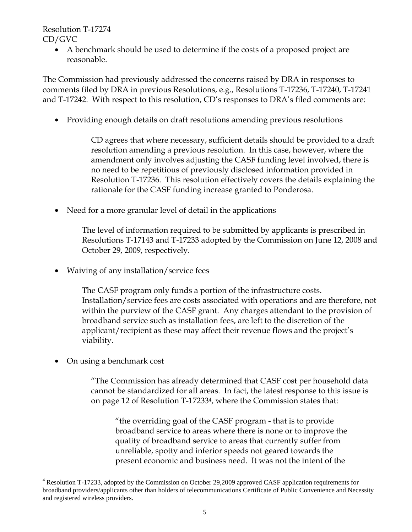> • A benchmark should be used to determine if the costs of a proposed project are reasonable.

The Commission had previously addressed the concerns raised by DRA in responses to comments filed by DRA in previous Resolutions, e.g., Resolutions T-17236, T-17240, T-17241 and T-17242. With respect to this resolution, CD's responses to DRA's filed comments are:

• Providing enough details on draft resolutions amending previous resolutions

CD agrees that where necessary, sufficient details should be provided to a draft resolution amending a previous resolution. In this case, however, where the amendment only involves adjusting the CASF funding level involved, there is no need to be repetitious of previously disclosed information provided in Resolution T-17236. This resolution effectively covers the details explaining the rationale for the CASF funding increase granted to Ponderosa.

• Need for a more granular level of detail in the applications

The level of information required to be submitted by applicants is prescribed in Resolutions T-17143 and T-17233 adopted by the Commission on June 12, 2008 and October 29, 2009, respectively.

• Waiving of any installation/service fees

The CASF program only funds a portion of the infrastructure costs. Installation/service fees are costs associated with operations and are therefore, not within the purview of the CASF grant. Any charges attendant to the provision of broadband service such as installation fees, are left to the discretion of the applicant/recipient as these may affect their revenue flows and the project's viability.

• On using a benchmark cost

-

"The Commission has already determined that CASF cost per household data cannot be standardized for all areas. In fact, the latest response to this issue is on page 12 of Resolution T-172334, where the Commission states that:

 "the overriding goal of the CASF program - that is to provide broadband service to areas where there is none or to improve the quality of broadband service to areas that currently suffer from unreliable, spotty and inferior speeds not geared towards the present economic and business need. It was not the intent of the

<sup>&</sup>lt;sup>4</sup> Resolution T-17233, adopted by the Commission on October 29,2009 approved CASF application requirements for broadband providers/applicants other than holders of telecommunications Certificate of Public Convenience and Necessity and registered wireless providers.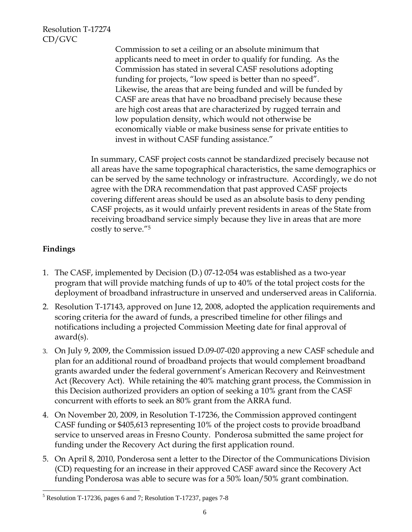> Commission to set a ceiling or an absolute minimum that applicants need to meet in order to qualify for funding. As the Commission has stated in several CASF resolutions adopting funding for projects, "low speed is better than no speed". Likewise, the areas that are being funded and will be funded by CASF are areas that have no broadband precisely because these are high cost areas that are characterized by rugged terrain and low population density, which would not otherwise be economically viable or make business sense for private entities to invest in without CASF funding assistance."

In summary, CASF project costs cannot be standardized precisely because not all areas have the same topographical characteristics, the same demographics or can be served by the same technology or infrastructure. Accordingly, we do not agree with the DRA recommendation that past approved CASF projects covering different areas should be used as an absolute basis to deny pending CASF projects, as it would unfairly prevent residents in areas of the State from receiving broadband service simply because they live in areas that are more costly to serve."5

## **Findings**

- 1. The CASF, implemented by Decision (D.) 07-12-054 was established as a two-year program that will provide matching funds of up to 40% of the total project costs for the deployment of broadband infrastructure in unserved and underserved areas in California.
- 2. Resolution T-17143, approved on June 12, 2008, adopted the application requirements and scoring criteria for the award of funds, a prescribed timeline for other filings and notifications including a projected Commission Meeting date for final approval of award(s).
- 3. On July 9, 2009, the Commission issued D.09-07-020 approving a new CASF schedule and plan for an additional round of broadband projects that would complement broadband grants awarded under the federal government's American Recovery and Reinvestment Act (Recovery Act). While retaining the 40% matching grant process, the Commission in this Decision authorized providers an option of seeking a 10% grant from the CASF concurrent with efforts to seek an 80% grant from the ARRA fund.
- 4. On November 20, 2009, in Resolution T-17236, the Commission approved contingent CASF funding or \$405,613 representing 10% of the project costs to provide broadband service to unserved areas in Fresno County. Ponderosa submitted the same project for funding under the Recovery Act during the first application round.
- 5. On April 8, 2010, Ponderosa sent a letter to the Director of the Communications Division (CD) requesting for an increase in their approved CASF award since the Recovery Act funding Ponderosa was able to secure was for a 50% loan/50% grant combination.

<sup>1</sup> 5 Resolution T-17236, pages 6 and 7; Resolution T-17237, pages 7-8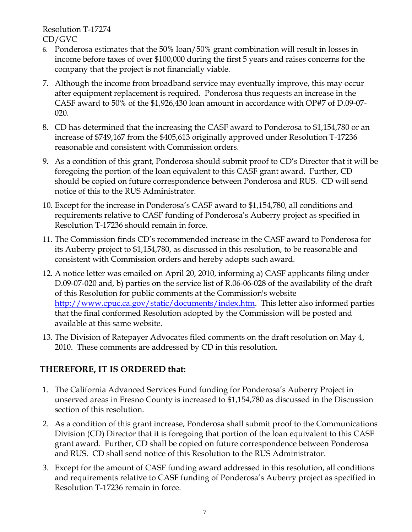- 6. Ponderosa estimates that the 50% loan/50% grant combination will result in losses in income before taxes of over \$100,000 during the first 5 years and raises concerns for the company that the project is not financially viable.
- 7. Although the income from broadband service may eventually improve, this may occur after equipment replacement is required. Ponderosa thus requests an increase in the CASF award to 50% of the \$1,926,430 loan amount in accordance with OP#7 of D.09-07- 020.
- 8. CD has determined that the increasing the CASF award to Ponderosa to \$1,154,780 or an increase of \$749,167 from the \$405,613 originally approved under Resolution T-17236 reasonable and consistent with Commission orders.
- 9. As a condition of this grant, Ponderosa should submit proof to CD's Director that it will be foregoing the portion of the loan equivalent to this CASF grant award. Further, CD should be copied on future correspondence between Ponderosa and RUS. CD will send notice of this to the RUS Administrator.
- 10. Except for the increase in Ponderosa's CASF award to \$1,154,780, all conditions and requirements relative to CASF funding of Ponderosa's Auberry project as specified in Resolution T-17236 should remain in force.
- 11. The Commission finds CD's recommended increase in the CASF award to Ponderosa for its Auberry project to \$1,154,780, as discussed in this resolution, to be reasonable and consistent with Commission orders and hereby adopts such award.
- 12. A notice letter was emailed on April 20, 2010, informing a) CASF applicants filing under D.09-07-020 and, b) parties on the service list of R.06-06-028 of the availability of the draft of this Resolution for public comments at the Commission's website http://www.cpuc.ca.gov/static/documents/index.htm. This letter also informed parties that the final conformed Resolution adopted by the Commission will be posted and available at this same website.
- 13. The Division of Ratepayer Advocates filed comments on the draft resolution on May 4, 2010. These comments are addressed by CD in this resolution.

# **THEREFORE, IT IS ORDERED that:**

- 1. The California Advanced Services Fund funding for Ponderosa's Auberry Project in unserved areas in Fresno County is increased to \$1,154,780 as discussed in the Discussion section of this resolution.
- 2. As a condition of this grant increase, Ponderosa shall submit proof to the Communications Division (CD) Director that it is foregoing that portion of the loan equivalent to this CASF grant award. Further, CD shall be copied on future correspondence between Ponderosa and RUS. CD shall send notice of this Resolution to the RUS Administrator.
- 3. Except for the amount of CASF funding award addressed in this resolution, all conditions and requirements relative to CASF funding of Ponderosa's Auberry project as specified in Resolution T-17236 remain in force.